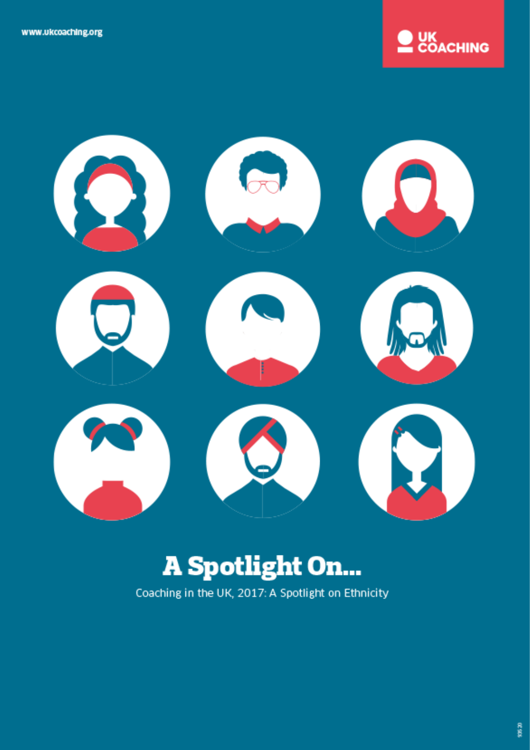



# **A Spotlight On...**

Coaching in the UK, 2017: A Spotlight on Ethnicity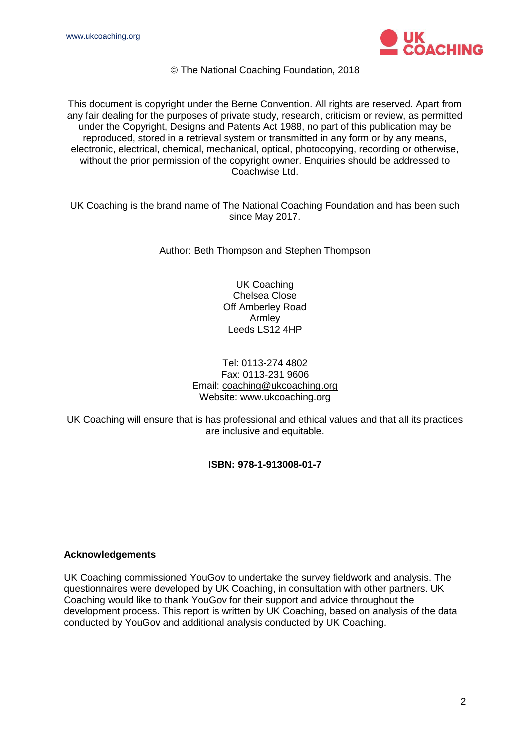

The National Coaching Foundation, 2018

This document is copyright under the Berne Convention. All rights are reserved. Apart from any fair dealing for the purposes of private study, research, criticism or review, as permitted under the Copyright, Designs and Patents Act 1988, no part of this publication may be reproduced, stored in a retrieval system or transmitted in any form or by any means, electronic, electrical, chemical, mechanical, optical, photocopying, recording or otherwise, without the prior permission of the copyright owner. Enquiries should be addressed to Coachwise Ltd.

UK Coaching is the brand name of The National Coaching Foundation and has been such since May 2017.

Author: Beth Thompson and Stephen Thompson

UK Coaching Chelsea Close Off Amberley Road Armley Leeds LS12 4HP

#### Tel: 0113-274 4802 Fax: 0113-231 9606 Email: [coaching@ukcoaching.org](mailto:coaching@ukcoaching.org) Website: [www.ukcoaching.org](http://www.ukcoaching.org/)

UK Coaching will ensure that is has professional and ethical values and that all its practices are inclusive and equitable.

#### **ISBN: 978-1-913008-01-7**

#### **Acknowledgements**

UK Coaching commissioned YouGov to undertake the survey fieldwork and analysis. The questionnaires were developed by UK Coaching, in consultation with other partners. UK Coaching would like to thank YouGov for their support and advice throughout the development process. This report is written by UK Coaching, based on analysis of the data conducted by YouGov and additional analysis conducted by UK Coaching.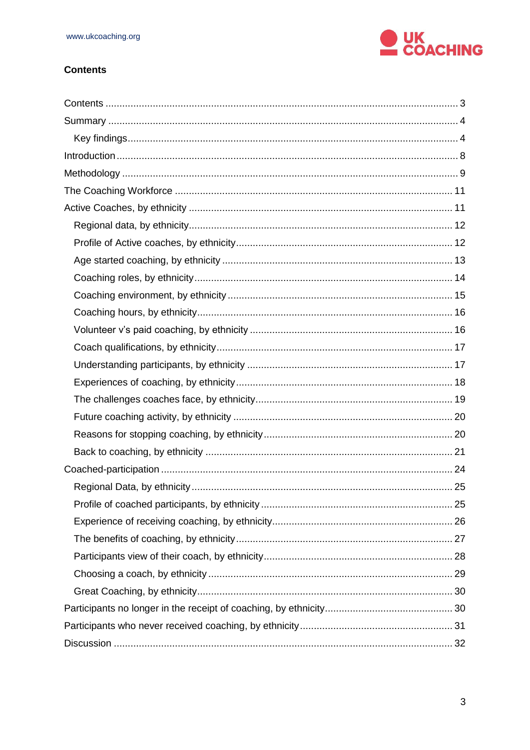

#### <span id="page-2-0"></span>**Contents**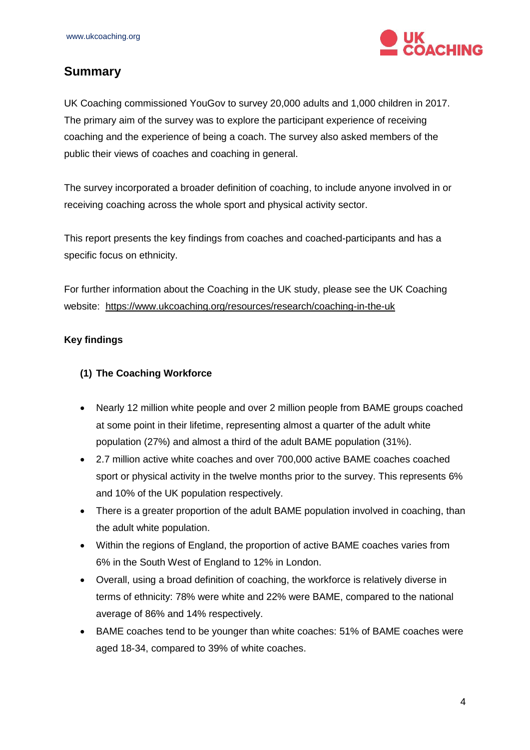

# <span id="page-3-0"></span>**Summary**

UK Coaching commissioned YouGov to survey 20,000 adults and 1,000 children in 2017. The primary aim of the survey was to explore the participant experience of receiving coaching and the experience of being a coach. The survey also asked members of the public their views of coaches and coaching in general.

The survey incorporated a broader definition of coaching, to include anyone involved in or receiving coaching across the whole sport and physical activity sector.

This report presents the key findings from coaches and coached-participants and has a specific focus on ethnicity.

For further information about the Coaching in the UK study, please see the UK Coaching website: <https://www.ukcoaching.org/resources/research/coaching-in-the-uk>

#### <span id="page-3-1"></span>**Key findings**

#### **(1) The Coaching Workforce**

- Nearly 12 million white people and over 2 million people from BAME groups coached at some point in their lifetime, representing almost a quarter of the adult white population (27%) and almost a third of the adult BAME population (31%).
- 2.7 million active white coaches and over 700,000 active BAME coaches coached sport or physical activity in the twelve months prior to the survey. This represents 6% and 10% of the UK population respectively.
- There is a greater proportion of the adult BAME population involved in coaching, than the adult white population.
- Within the regions of England, the proportion of active BAME coaches varies from 6% in the South West of England to 12% in London.
- Overall, using a broad definition of coaching, the workforce is relatively diverse in terms of ethnicity: 78% were white and 22% were BAME, compared to the national average of 86% and 14% respectively.
- BAME coaches tend to be younger than white coaches: 51% of BAME coaches were aged 18-34, compared to 39% of white coaches.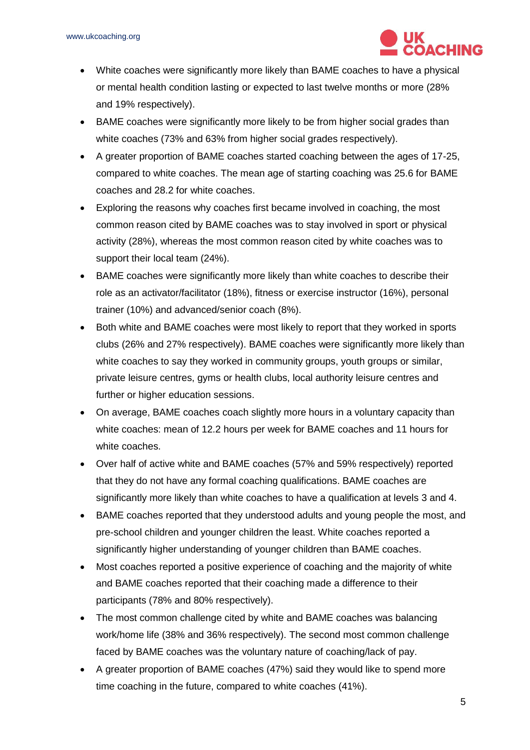

- White coaches were significantly more likely than BAME coaches to have a physical or mental health condition lasting or expected to last twelve months or more (28% and 19% respectively).
- BAME coaches were significantly more likely to be from higher social grades than white coaches (73% and 63% from higher social grades respectively).
- A greater proportion of BAME coaches started coaching between the ages of 17-25, compared to white coaches. The mean age of starting coaching was 25.6 for BAME coaches and 28.2 for white coaches.
- Exploring the reasons why coaches first became involved in coaching, the most common reason cited by BAME coaches was to stay involved in sport or physical activity (28%), whereas the most common reason cited by white coaches was to support their local team (24%).
- BAME coaches were significantly more likely than white coaches to describe their role as an activator/facilitator (18%), fitness or exercise instructor (16%), personal trainer (10%) and advanced/senior coach (8%).
- Both white and BAME coaches were most likely to report that they worked in sports clubs (26% and 27% respectively). BAME coaches were significantly more likely than white coaches to say they worked in community groups, youth groups or similar, private leisure centres, gyms or health clubs, local authority leisure centres and further or higher education sessions.
- On average, BAME coaches coach slightly more hours in a voluntary capacity than white coaches: mean of 12.2 hours per week for BAME coaches and 11 hours for white coaches.
- Over half of active white and BAME coaches (57% and 59% respectively) reported that they do not have any formal coaching qualifications. BAME coaches are significantly more likely than white coaches to have a qualification at levels 3 and 4.
- BAME coaches reported that they understood adults and young people the most, and pre-school children and younger children the least. White coaches reported a significantly higher understanding of younger children than BAME coaches.
- Most coaches reported a positive experience of coaching and the majority of white and BAME coaches reported that their coaching made a difference to their participants (78% and 80% respectively).
- The most common challenge cited by white and BAME coaches was balancing work/home life (38% and 36% respectively). The second most common challenge faced by BAME coaches was the voluntary nature of coaching/lack of pay.
- A greater proportion of BAME coaches (47%) said they would like to spend more time coaching in the future, compared to white coaches (41%).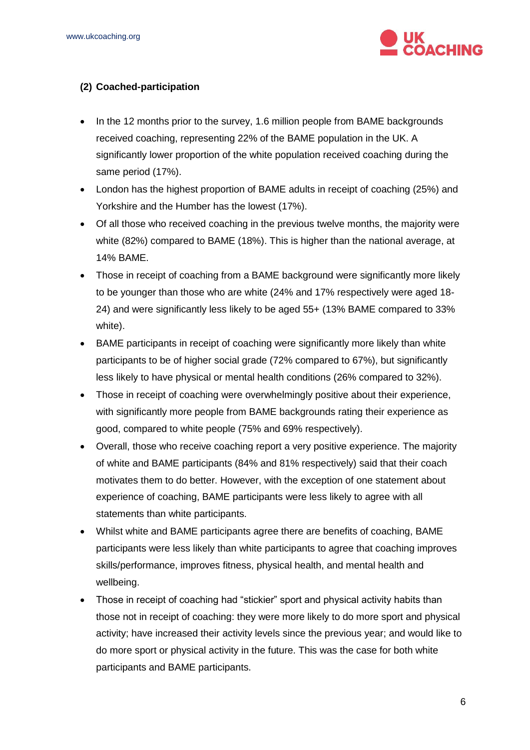

#### **(2) Coached-participation**

- In the 12 months prior to the survey, 1.6 million people from BAME backgrounds received coaching, representing 22% of the BAME population in the UK. A significantly lower proportion of the white population received coaching during the same period (17%).
- London has the highest proportion of BAME adults in receipt of coaching (25%) and Yorkshire and the Humber has the lowest (17%).
- Of all those who received coaching in the previous twelve months, the majority were white (82%) compared to BAME (18%). This is higher than the national average, at 14% BAME.
- Those in receipt of coaching from a BAME background were significantly more likely to be younger than those who are white (24% and 17% respectively were aged 18- 24) and were significantly less likely to be aged 55+ (13% BAME compared to 33% white).
- BAME participants in receipt of coaching were significantly more likely than white participants to be of higher social grade (72% compared to 67%), but significantly less likely to have physical or mental health conditions (26% compared to 32%).
- Those in receipt of coaching were overwhelmingly positive about their experience, with significantly more people from BAME backgrounds rating their experience as good, compared to white people (75% and 69% respectively).
- Overall, those who receive coaching report a very positive experience. The majority of white and BAME participants (84% and 81% respectively) said that their coach motivates them to do better. However, with the exception of one statement about experience of coaching, BAME participants were less likely to agree with all statements than white participants.
- Whilst white and BAME participants agree there are benefits of coaching, BAME participants were less likely than white participants to agree that coaching improves skills/performance, improves fitness, physical health, and mental health and wellbeing.
- Those in receipt of coaching had "stickier" sport and physical activity habits than those not in receipt of coaching: they were more likely to do more sport and physical activity; have increased their activity levels since the previous year; and would like to do more sport or physical activity in the future. This was the case for both white participants and BAME participants.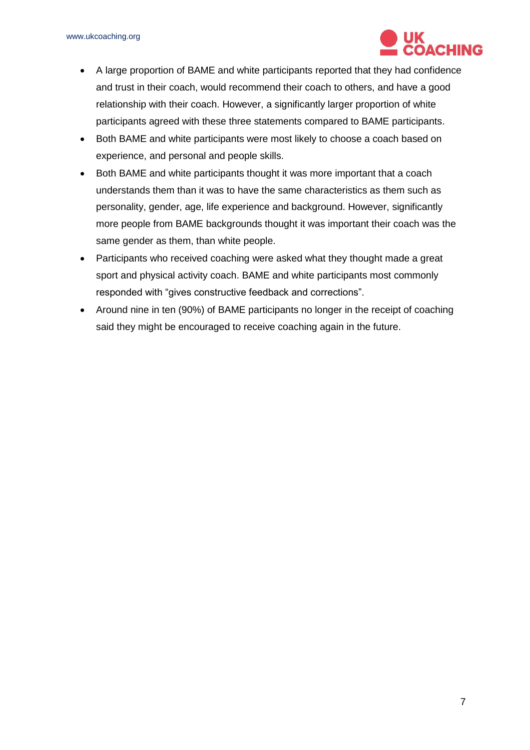

- A large proportion of BAME and white participants reported that they had confidence and trust in their coach, would recommend their coach to others, and have a good relationship with their coach. However, a significantly larger proportion of white participants agreed with these three statements compared to BAME participants.
- Both BAME and white participants were most likely to choose a coach based on experience, and personal and people skills.
- Both BAME and white participants thought it was more important that a coach understands them than it was to have the same characteristics as them such as personality, gender, age, life experience and background. However, significantly more people from BAME backgrounds thought it was important their coach was the same gender as them, than white people.
- Participants who received coaching were asked what they thought made a great sport and physical activity coach. BAME and white participants most commonly responded with "gives constructive feedback and corrections".
- Around nine in ten (90%) of BAME participants no longer in the receipt of coaching said they might be encouraged to receive coaching again in the future.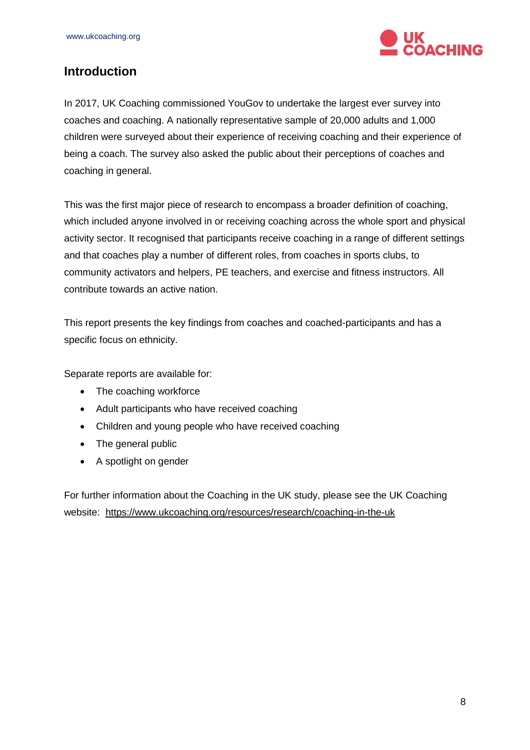

## <span id="page-7-0"></span>**Introduction**

In 2017, UK Coaching commissioned YouGov to undertake the largest ever survey into coaches and coaching. A nationally representative sample of 20,000 adults and 1,000 children were surveyed about their experience of receiving coaching and their experience of being a coach. The survey also asked the public about their perceptions of coaches and coaching in general.

This was the first major piece of research to encompass a broader definition of coaching, which included anyone involved in or receiving coaching across the whole sport and physical activity sector. It recognised that participants receive coaching in a range of different settings and that coaches play a number of different roles, from coaches in sports clubs, to community activators and helpers, PE teachers, and exercise and fitness instructors. All contribute towards an active nation.

This report presents the key findings from coaches and coached-participants and has a specific focus on ethnicity.

Separate reports are available for:

- The coaching workforce
- Adult participants who have received coaching
- Children and young people who have received coaching
- The general public
- A spotlight on gender

For further information about the Coaching in the UK study, please see the UK Coaching website: <https://www.ukcoaching.org/resources/research/coaching-in-the-uk>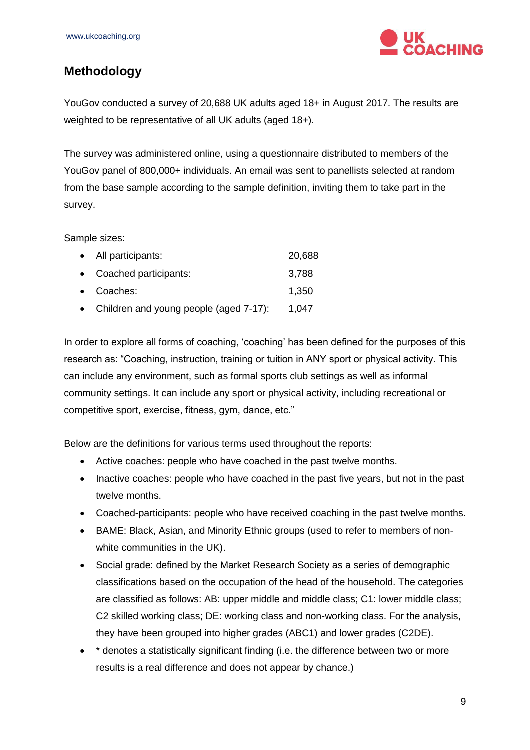

## <span id="page-8-0"></span>**Methodology**

YouGov conducted a survey of 20,688 UK adults aged 18+ in August 2017. The results are weighted to be representative of all UK adults (aged 18+).

The survey was administered online, using a questionnaire distributed to members of the YouGov panel of 800,000+ individuals. An email was sent to panellists selected at random from the base sample according to the sample definition, inviting them to take part in the survey.

Sample sizes:

| • All participants:                      | 20,688 |
|------------------------------------------|--------|
| • Coached participants:                  | 3,788  |
| • Coaches:                               | 1,350  |
| • Children and young people (aged 7-17): | 1,047  |

In order to explore all forms of coaching, 'coaching' has been defined for the purposes of this research as: "Coaching, instruction, training or tuition in ANY sport or physical activity. This can include any environment, such as formal sports club settings as well as informal community settings. It can include any sport or physical activity, including recreational or competitive sport, exercise, fitness, gym, dance, etc."

Below are the definitions for various terms used throughout the reports:

- Active coaches: people who have coached in the past twelve months.
- Inactive coaches: people who have coached in the past five years, but not in the past twelve months.
- Coached-participants: people who have received coaching in the past twelve months.
- BAME: Black, Asian, and Minority Ethnic groups (used to refer to members of nonwhite communities in the UK).
- Social grade: defined by the Market Research Society as a series of demographic classifications based on the occupation of the head of the household. The categories are classified as follows: AB: upper middle and middle class; C1: lower middle class; C2 skilled working class; DE: working class and non-working class. For the analysis, they have been grouped into higher grades (ABC1) and lower grades (C2DE).
- \* denotes a statistically significant finding (i.e. the difference between two or more results is a real difference and does not appear by chance.)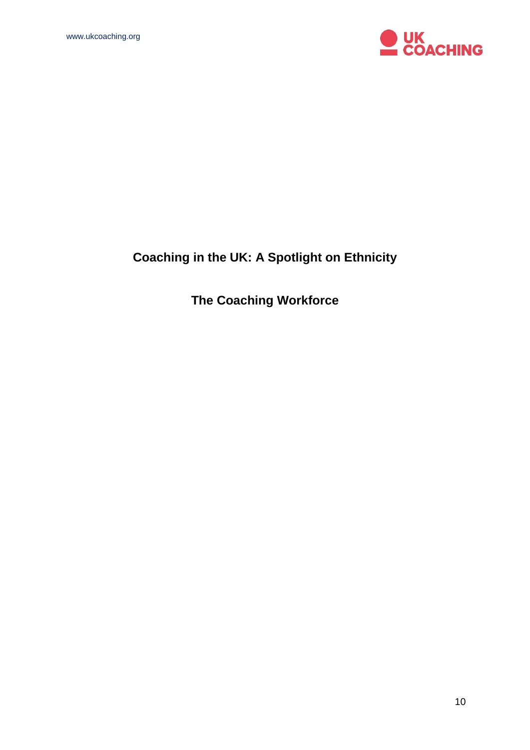

# **Coaching in the UK: A Spotlight on Ethnicity**

**The Coaching Workforce**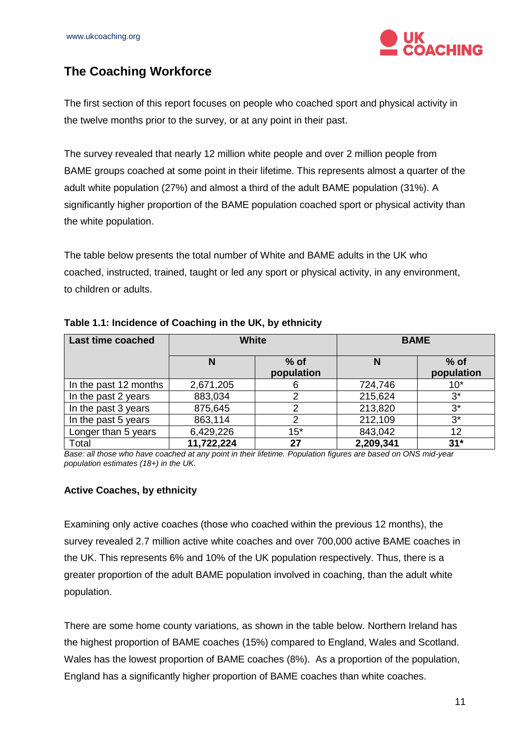

# <span id="page-10-0"></span>**The Coaching Workforce**

The first section of this report focuses on people who coached sport and physical activity in the twelve months prior to the survey, or at any point in their past.

The survey revealed that nearly 12 million white people and over 2 million people from BAME groups coached at some point in their lifetime. This represents almost a quarter of the adult white population (27%) and almost a third of the adult BAME population (31%). A significantly higher proportion of the BAME population coached sport or physical activity than the white population.

The table below presents the total number of White and BAME adults in the UK who coached, instructed, trained, taught or led any sport or physical activity, in any environment, to children or adults.

| <b>Last time coached</b> | <b>White</b> |                      |           | <b>BAME</b>          |
|--------------------------|--------------|----------------------|-----------|----------------------|
|                          | N            | $%$ of<br>population | N         | $%$ of<br>population |
| In the past 12 months    | 2,671,205    | 6                    | 724,746   | $10*$                |
| In the past 2 years      | 883,034      | 2                    | 215,624   | $3^*$                |
| In the past 3 years      | 875,645      | 2                    | 213,820   | $3^*$                |
| In the past 5 years      | 863,114      | 2                    | 212,109   | $3^*$                |
| Longer than 5 years      | 6,429,226    | $15*$                | 843,042   | 12                   |
| Total                    | 11,722,224   | 27                   | 2,209,341 | $31*$                |

#### **Table 1.1: Incidence of Coaching in the UK, by ethnicity**

*Base: all those who have coached at any point in their lifetime. Population figures are based on ONS mid-year population estimates (18+) in the UK.*

#### <span id="page-10-1"></span>**Active Coaches, by ethnicity**

Examining only active coaches (those who coached within the previous 12 months), the survey revealed 2.7 million active white coaches and over 700,000 active BAME coaches in the UK. This represents 6% and 10% of the UK population respectively. Thus, there is a greater proportion of the adult BAME population involved in coaching, than the adult white population.

There are some home county variations, as shown in the table below. Northern Ireland has the highest proportion of BAME coaches (15%) compared to England, Wales and Scotland. Wales has the lowest proportion of BAME coaches (8%). As a proportion of the population, England has a significantly higher proportion of BAME coaches than white coaches.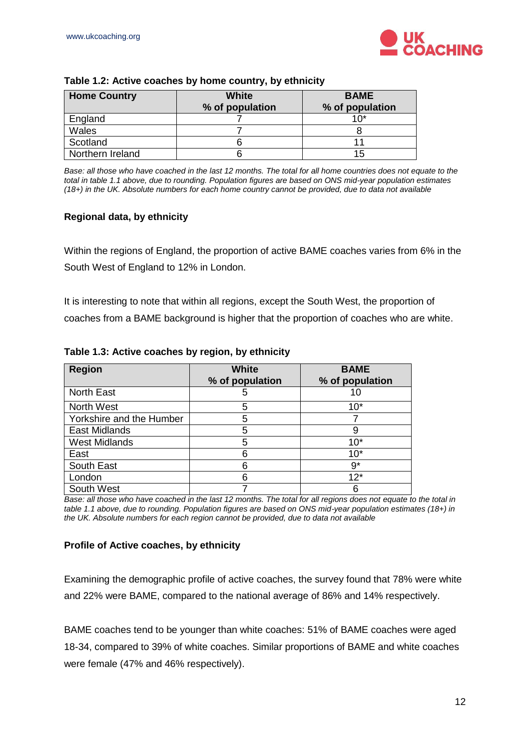

| <b>Home Country</b> | <b>White</b><br>% of population | <b>BAME</b><br>% of population |
|---------------------|---------------------------------|--------------------------------|
| England             |                                 | 1በ*                            |
| Wales               |                                 |                                |
| Scotland            |                                 |                                |
| Northern Ireland    |                                 | 15                             |

#### **Table 1.2: Active coaches by home country, by ethnicity**

*Base: all those who have coached in the last 12 months. The total for all home countries does not equate to the total in table 1.1 above, due to rounding. Population figures are based on ONS mid-year population estimates (18+) in the UK. Absolute numbers for each home country cannot be provided, due to data not available*

#### <span id="page-11-0"></span>**Regional data, by ethnicity**

Within the regions of England, the proportion of active BAME coaches varies from 6% in the South West of England to 12% in London.

It is interesting to note that within all regions, except the South West, the proportion of coaches from a BAME background is higher that the proportion of coaches who are white.

| <b>Region</b>            | <b>White</b><br>% of population | <b>BAME</b><br>% of population |
|--------------------------|---------------------------------|--------------------------------|
| <b>North East</b>        | 5                               | 10                             |
| <b>North West</b>        | 5                               | $10*$                          |
| Yorkshire and the Humber | 5                               |                                |
| East Midlands            | 5                               | 9                              |
| <b>West Midlands</b>     | 5                               | $10*$                          |
| East                     | 6                               | 10 <sup>*</sup>                |
| South East               | 6                               | $9*$                           |
| London                   | 6                               | $12*$                          |
| South West               |                                 | 6                              |

**Table 1.3: Active coaches by region, by ethnicity** 

*Base: all those who have coached in the last 12 months. The total for all regions does not equate to the total in table 1.1 above, due to rounding. Population figures are based on ONS mid-year population estimates (18+) in the UK. Absolute numbers for each region cannot be provided, due to data not available*

#### <span id="page-11-1"></span>**Profile of Active coaches, by ethnicity**

Examining the demographic profile of active coaches, the survey found that 78% were white and 22% were BAME, compared to the national average of 86% and 14% respectively.

BAME coaches tend to be younger than white coaches: 51% of BAME coaches were aged 18-34, compared to 39% of white coaches. Similar proportions of BAME and white coaches were female (47% and 46% respectively).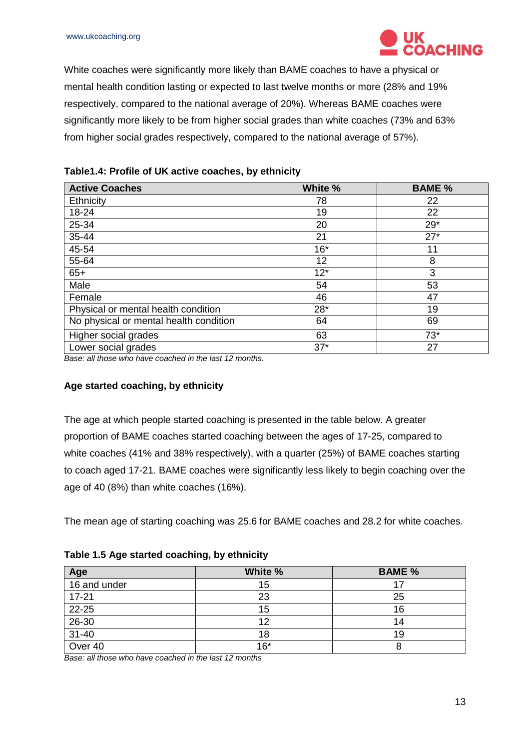

White coaches were significantly more likely than BAME coaches to have a physical or mental health condition lasting or expected to last twelve months or more (28% and 19% respectively, compared to the national average of 20%). Whereas BAME coaches were significantly more likely to be from higher social grades than white coaches (73% and 63% from higher social grades respectively, compared to the national average of 57%).

| <b>Active Coaches</b>                  | White % | <b>BAME %</b> |
|----------------------------------------|---------|---------------|
| Ethnicity                              | 78      | 22            |
| 18-24                                  | 19      | 22            |
| 25-34                                  | 20      | $29*$         |
| 35-44                                  | 21      | $27*$         |
| 45-54                                  | $16*$   | 11            |
| 55-64                                  | 12      | 8             |
| $65+$                                  | $12*$   | 3             |
| Male                                   | 54      | 53            |
| Female                                 | 46      | 47            |
| Physical or mental health condition    | $28*$   | 19            |
| No physical or mental health condition | 64      | 69            |
| Higher social grades                   | 63      | $73*$         |
| Lower social grades                    | $37*$   | 27            |

| Table1.4: Profile of UK active coaches, by ethnicity |  |  |  |
|------------------------------------------------------|--|--|--|
|------------------------------------------------------|--|--|--|

*Base: all those who have coached in the last 12 months.* 

#### <span id="page-12-0"></span>**Age started coaching, by ethnicity**

The age at which people started coaching is presented in the table below. A greater proportion of BAME coaches started coaching between the ages of 17-25, compared to white coaches (41% and 38% respectively), with a quarter (25%) of BAME coaches starting to coach aged 17-21. BAME coaches were significantly less likely to begin coaching over the age of 40 (8%) than white coaches (16%).

The mean age of starting coaching was 25.6 for BAME coaches and 28.2 for white coaches.

| Age          | White % | <b>BAME %</b> |
|--------------|---------|---------------|
| 16 and under | 15      |               |
| $17 - 21$    | 23      | 25            |
| $22 - 25$    | 15      | 16            |
| $26 - 30$    | 12      | 14            |
| $31 - 40$    | 18      | 19            |
| Over 40      | $16*$   |               |

**Table 1.5 Age started coaching, by ethnicity** 

*Base: all those who have coached in the last 12 months*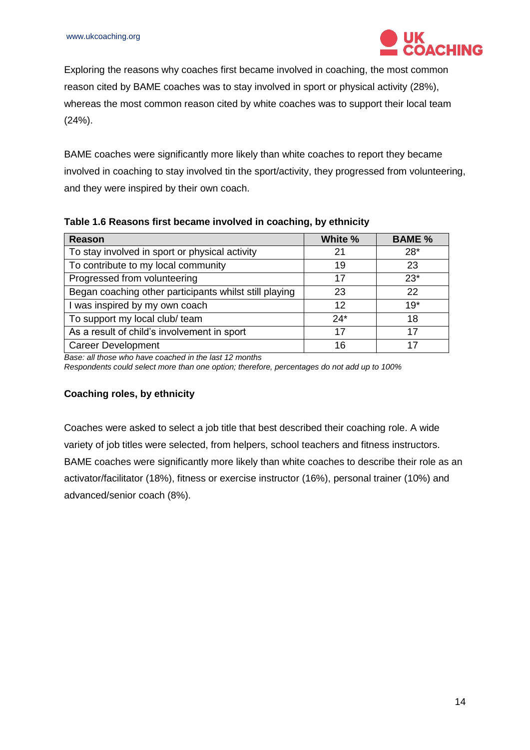

Exploring the reasons why coaches first became involved in coaching, the most common reason cited by BAME coaches was to stay involved in sport or physical activity (28%), whereas the most common reason cited by white coaches was to support their local team (24%).

BAME coaches were significantly more likely than white coaches to report they became involved in coaching to stay involved tin the sport/activity, they progressed from volunteering, and they were inspired by their own coach.

| <b>Reason</b>                                          | White % | <b>BAME %</b> |
|--------------------------------------------------------|---------|---------------|
| To stay involved in sport or physical activity         | 21      | $28*$         |
| To contribute to my local community                    | 19      | 23            |
| Progressed from volunteering                           | 17      | $23*$         |
| Began coaching other participants whilst still playing | 23      | 22            |
| I was inspired by my own coach                         | 12      | $19*$         |
| To support my local club/ team                         | $24*$   | 18            |
| As a result of child's involvement in sport            | 17      | 17            |
| <b>Career Development</b>                              | 16      | 17            |

#### **Table 1.6 Reasons first became involved in coaching, by ethnicity**

*Base: all those who have coached in the last 12 months* 

*Respondents could select more than one option; therefore, percentages do not add up to 100%*

#### <span id="page-13-0"></span>**Coaching roles, by ethnicity**

Coaches were asked to select a job title that best described their coaching role. A wide variety of job titles were selected, from helpers, school teachers and fitness instructors. BAME coaches were significantly more likely than white coaches to describe their role as an activator/facilitator (18%), fitness or exercise instructor (16%), personal trainer (10%) and advanced/senior coach (8%).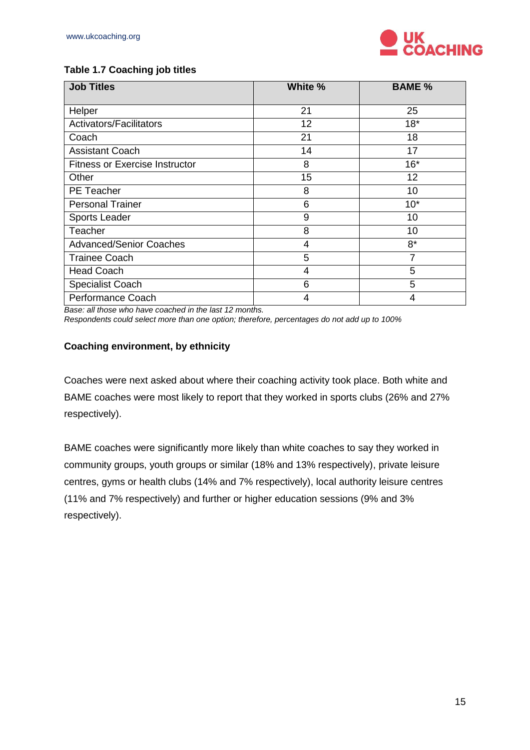

#### **Table 1.7 Coaching job titles**

| <b>Job Titles</b>                     | White % | <b>BAME %</b> |
|---------------------------------------|---------|---------------|
| Helper                                | 21      | 25            |
| Activators/Facilitators               | 12      | $18*$         |
| Coach                                 | 21      | 18            |
| <b>Assistant Coach</b>                | 14      | 17            |
| <b>Fitness or Exercise Instructor</b> | 8       | $16*$         |
| Other                                 | 15      | 12            |
| <b>PE</b> Teacher                     | 8       | 10            |
| <b>Personal Trainer</b>               | 6       | $10*$         |
| Sports Leader                         | 9       | 10            |
| Teacher                               | 8       | 10            |
| <b>Advanced/Senior Coaches</b>        | 4       | $8*$          |
| <b>Trainee Coach</b>                  | 5       |               |
| <b>Head Coach</b>                     | 4       | 5             |
| <b>Specialist Coach</b>               | 6       | 5             |
| Performance Coach                     | 4       | 4             |

*Base: all those who have coached in the last 12 months.* 

*Respondents could select more than one option; therefore, percentages do not add up to 100%*

#### <span id="page-14-0"></span>**Coaching environment, by ethnicity**

Coaches were next asked about where their coaching activity took place. Both white and BAME coaches were most likely to report that they worked in sports clubs (26% and 27% respectively).

BAME coaches were significantly more likely than white coaches to say they worked in community groups, youth groups or similar (18% and 13% respectively), private leisure centres, gyms or health clubs (14% and 7% respectively), local authority leisure centres (11% and 7% respectively) and further or higher education sessions (9% and 3% respectively).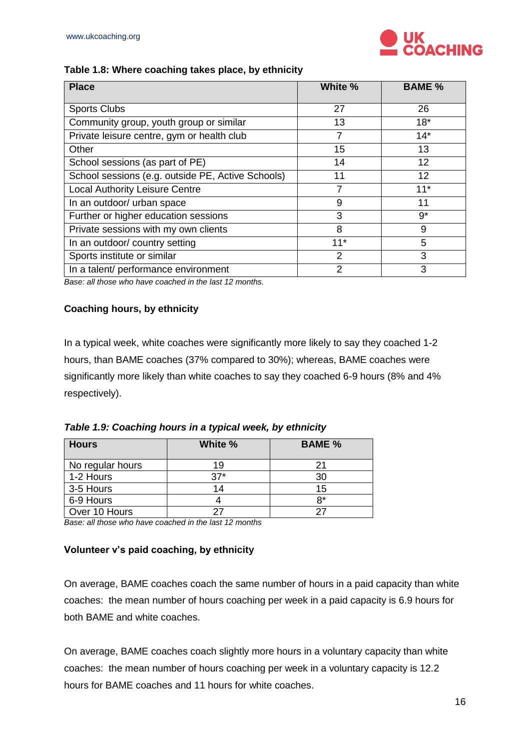

#### **Table 1.8: Where coaching takes place, by ethnicity**

| <b>Place</b>                                      | White %        | <b>BAME %</b> |
|---------------------------------------------------|----------------|---------------|
| <b>Sports Clubs</b>                               | 27             | 26            |
| Community group, youth group or similar           | 13             | $18*$         |
| Private leisure centre, gym or health club        | 7              | $14*$         |
| Other                                             | 15             | 13            |
| School sessions (as part of PE)                   | 14             | 12            |
| School sessions (e.g. outside PE, Active Schools) | 11             | 12            |
| <b>Local Authority Leisure Centre</b>             | 7              | $11*$         |
| In an outdoor/ urban space                        | 9              | 11            |
| Further or higher education sessions              | 3              | $9^{\star}$   |
| Private sessions with my own clients              | 8              | 9             |
| In an outdoor/ country setting                    | $11*$          | 5             |
| Sports institute or similar                       | $\mathfrak{p}$ | 3             |
| In a talent/ performance environment              | 2              | 3             |

*Base: all those who have coached in the last 12 months.* 

#### <span id="page-15-0"></span>**Coaching hours, by ethnicity**

In a typical week, white coaches were significantly more likely to say they coached 1-2 hours, than BAME coaches (37% compared to 30%); whereas, BAME coaches were significantly more likely than white coaches to say they coached 6-9 hours (8% and 4% respectively).

*Table 1.9: Coaching hours in a typical week, by ethnicity* 

| <b>Hours</b>     | White % | <b>BAME %</b> |
|------------------|---------|---------------|
| No regular hours | 19      | 21            |
| 1-2 Hours        | $37*$   | 30            |
| 3-5 Hours        | 14      | 15            |
| 6-9 Hours        |         | R*            |
| Over 10 Hours    |         | つつ            |

*Base: all those who have coached in the last 12 months* 

#### <span id="page-15-1"></span>**Volunteer v's paid coaching, by ethnicity**

On average, BAME coaches coach the same number of hours in a paid capacity than white coaches: the mean number of hours coaching per week in a paid capacity is 6.9 hours for both BAME and white coaches.

On average, BAME coaches coach slightly more hours in a voluntary capacity than white coaches: the mean number of hours coaching per week in a voluntary capacity is 12.2 hours for BAME coaches and 11 hours for white coaches.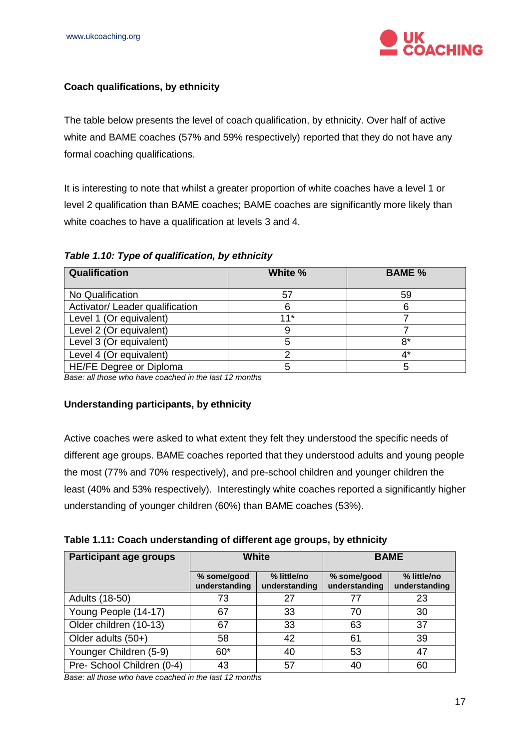

#### <span id="page-16-0"></span>**Coach qualifications, by ethnicity**

The table below presents the level of coach qualification, by ethnicity. Over half of active white and BAME coaches (57% and 59% respectively) reported that they do not have any formal coaching qualifications.

It is interesting to note that whilst a greater proportion of white coaches have a level 1 or level 2 qualification than BAME coaches; BAME coaches are significantly more likely than white coaches to have a qualification at levels 3 and 4.

| <b>Qualification</b>            | White % | <b>BAME %</b> |
|---------------------------------|---------|---------------|
| No Qualification                | 57      | 59            |
| Activator/ Leader qualification |         |               |
| Level 1 (Or equivalent)         | $11*$   |               |
| Level 2 (Or equivalent)         |         |               |
| Level 3 (Or equivalent)         | 5       | $8*$          |
| Level 4 (Or equivalent)         |         | 4*            |
| HE/FE Degree or Diploma         | 5       | 5             |

*Table 1.10: Type of qualification, by ethnicity* 

*Base: all those who have coached in the last 12 months* 

#### <span id="page-16-1"></span>**Understanding participants, by ethnicity**

Active coaches were asked to what extent they felt they understood the specific needs of different age groups. BAME coaches reported that they understood adults and young people the most (77% and 70% respectively), and pre-school children and younger children the least (40% and 53% respectively). Interestingly white coaches reported a significantly higher understanding of younger children (60%) than BAME coaches (53%).

|  |  | Table 1.11: Coach understanding of different age groups, by ethnicity |  |  |  |
|--|--|-----------------------------------------------------------------------|--|--|--|
|--|--|-----------------------------------------------------------------------|--|--|--|

| <b>Participant age groups</b> | <b>White</b>                 |                              |                              | <b>BAME</b>                  |
|-------------------------------|------------------------------|------------------------------|------------------------------|------------------------------|
|                               | % some/good<br>understanding | % little/no<br>understanding | % some/good<br>understanding | % little/no<br>understanding |
| Adults (18-50)                | 73                           | 27                           | 77                           | 23                           |
| Young People (14-17)          | 67                           | 33                           | 70                           | 30                           |
| Older children (10-13)        | 67                           | 33                           | 63                           | 37                           |
| Older adults (50+)            | 58                           | 42                           | 61                           | 39                           |
| Younger Children (5-9)        | $60*$                        | 40                           | 53                           | 47                           |
| Pre- School Children (0-4)    | 43                           | 57                           | 40                           | 60                           |

*Base: all those who have coached in the last 12 months*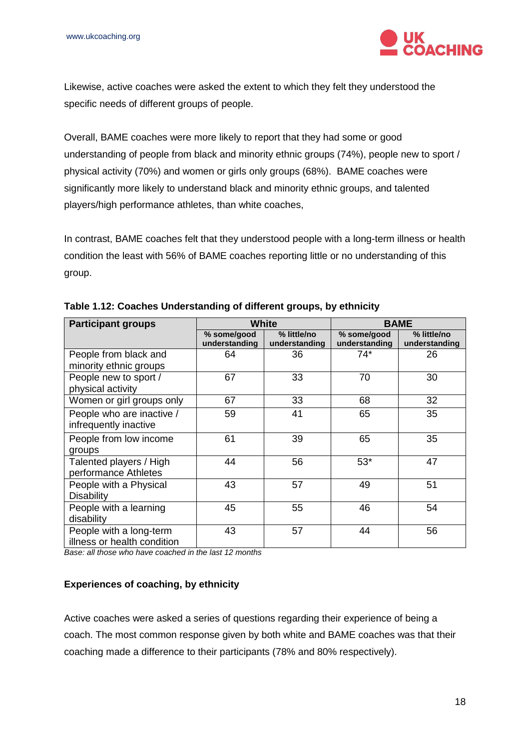

Likewise, active coaches were asked the extent to which they felt they understood the specific needs of different groups of people.

Overall, BAME coaches were more likely to report that they had some or good understanding of people from black and minority ethnic groups (74%), people new to sport / physical activity (70%) and women or girls only groups (68%). BAME coaches were significantly more likely to understand black and minority ethnic groups, and talented players/high performance athletes, than white coaches,

In contrast, BAME coaches felt that they understood people with a long-term illness or health condition the least with 56% of BAME coaches reporting little or no understanding of this group.

| <b>Participant groups</b>                              |                              | <b>White</b>                 | <b>BAME</b>                  |                              |
|--------------------------------------------------------|------------------------------|------------------------------|------------------------------|------------------------------|
|                                                        | % some/good<br>understanding | % little/no<br>understanding | % some/good<br>understanding | % little/no<br>understanding |
| People from black and<br>minority ethnic groups        | 64                           | 36                           | 74*                          | 26                           |
| People new to sport /<br>physical activity             | 67                           | 33                           | 70                           | 30                           |
| Women or girl groups only                              | 67                           | 33                           | 68                           | 32                           |
| People who are inactive /<br>infrequently inactive     | 59                           | 41                           | 65                           | 35                           |
| People from low income<br>groups                       | 61                           | 39                           | 65                           | 35                           |
| Talented players / High<br>performance Athletes        | 44                           | 56                           | $53*$                        | 47                           |
| People with a Physical<br><b>Disability</b>            | 43                           | 57                           | 49                           | 51                           |
| People with a learning<br>disability                   | 45                           | 55                           | 46                           | 54                           |
| People with a long-term<br>illness or health condition | 43                           | 57                           | 44                           | 56                           |

**Table 1.12: Coaches Understanding of different groups, by ethnicity** 

*Base: all those who have coached in the last 12 months* 

#### <span id="page-17-0"></span>**Experiences of coaching, by ethnicity**

Active coaches were asked a series of questions regarding their experience of being a coach. The most common response given by both white and BAME coaches was that their coaching made a difference to their participants (78% and 80% respectively).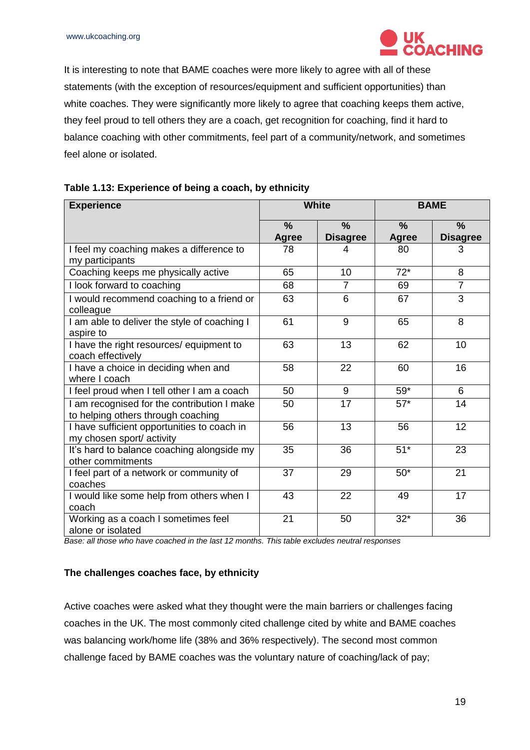

It is interesting to note that BAME coaches were more likely to agree with all of these statements (with the exception of resources/equipment and sufficient opportunities) than white coaches. They were significantly more likely to agree that coaching keeps them active, they feel proud to tell others they are a coach, get recognition for coaching, find it hard to balance coaching with other commitments, feel part of a community/network, and sometimes feel alone or isolated.

| <b>Experience</b>                                                                 | <b>White</b>  |                 | <b>BAME</b>   |                 |  |
|-----------------------------------------------------------------------------------|---------------|-----------------|---------------|-----------------|--|
|                                                                                   | $\frac{9}{6}$ | $\frac{9}{6}$   | $\frac{9}{6}$ | $\%$            |  |
|                                                                                   | <b>Agree</b>  | <b>Disagree</b> | <b>Agree</b>  | <b>Disagree</b> |  |
| I feel my coaching makes a difference to<br>my participants                       | 78            | 4               | 80            | 3               |  |
| Coaching keeps me physically active                                               | 65            | 10              | $72*$         | 8               |  |
| I look forward to coaching                                                        | 68            | $\overline{7}$  | 69            | $\overline{7}$  |  |
| I would recommend coaching to a friend or<br>colleague                            | 63            | 6               | 67            | 3               |  |
| I am able to deliver the style of coaching I<br>aspire to                         | 61            | 9               | 65            | 8               |  |
| I have the right resources/ equipment to<br>coach effectively                     | 63            | 13              | 62            | 10              |  |
| I have a choice in deciding when and<br>where I coach                             | 58            | 22              | 60            | 16              |  |
| I feel proud when I tell other I am a coach                                       | 50            | 9               | $59*$         | 6               |  |
| I am recognised for the contribution I make<br>to helping others through coaching | 50            | 17              | $57*$         | 14              |  |
| I have sufficient opportunities to coach in<br>my chosen sport/ activity          | 56            | 13              | 56            | 12              |  |
| It's hard to balance coaching alongside my<br>other commitments                   | 35            | 36              | $51*$         | 23              |  |
| I feel part of a network or community of<br>coaches                               | 37            | 29              | $50*$         | 21              |  |
| I would like some help from others when I<br>coach                                | 43            | 22              | 49            | 17              |  |
| Working as a coach I sometimes feel<br>alone or isolated                          | 21            | 50              | $32*$         | 36              |  |

|  | Table 1.13: Experience of being a coach, by ethnicity |  |  |  |
|--|-------------------------------------------------------|--|--|--|
|--|-------------------------------------------------------|--|--|--|

*Base: all those who have coached in the last 12 months. This table excludes neutral responses* 

#### <span id="page-18-0"></span>**The challenges coaches face, by ethnicity**

Active coaches were asked what they thought were the main barriers or challenges facing coaches in the UK. The most commonly cited challenge cited by white and BAME coaches was balancing work/home life (38% and 36% respectively). The second most common challenge faced by BAME coaches was the voluntary nature of coaching/lack of pay;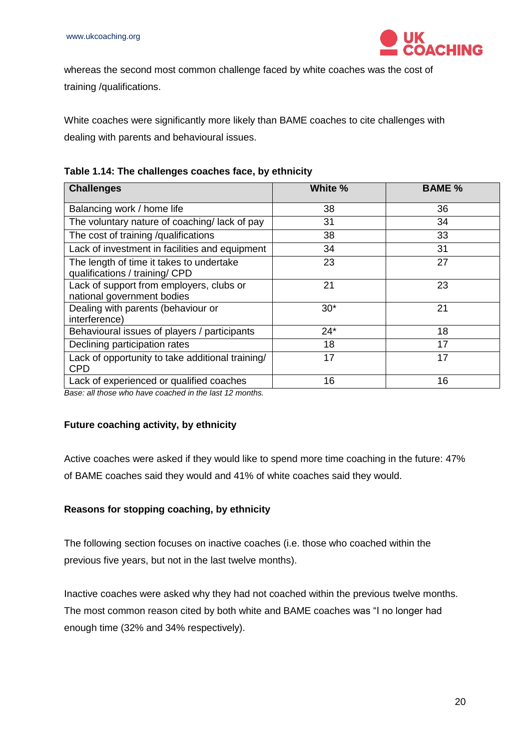

whereas the second most common challenge faced by white coaches was the cost of training /qualifications.

White coaches were significantly more likely than BAME coaches to cite challenges with dealing with parents and behavioural issues.

| <b>Challenges</b>                                                          | White % | <b>BAME %</b> |
|----------------------------------------------------------------------------|---------|---------------|
| Balancing work / home life                                                 | 38      | 36            |
| The voluntary nature of coaching/lack of pay                               | 31      | 34            |
| The cost of training /qualifications                                       | 38      | 33            |
| Lack of investment in facilities and equipment                             | 34      | 31            |
| The length of time it takes to undertake<br>qualifications / training/ CPD | 23      | 27            |
| Lack of support from employers, clubs or<br>national government bodies     | 21      | 23            |
| Dealing with parents (behaviour or<br>interference)                        | $30*$   | 21            |
| Behavioural issues of players / participants                               | $24*$   | 18            |
| Declining participation rates                                              | 18      | 17            |
| Lack of opportunity to take additional training/<br><b>CPD</b>             | 17      | 17            |
| Lack of experienced or qualified coaches                                   | 16      | 16            |

*Base: all those who have coached in the last 12 months.* 

#### <span id="page-19-0"></span>**Future coaching activity, by ethnicity**

Active coaches were asked if they would like to spend more time coaching in the future: 47% of BAME coaches said they would and 41% of white coaches said they would.

#### <span id="page-19-1"></span>**Reasons for stopping coaching, by ethnicity**

The following section focuses on inactive coaches (i.e. those who coached within the previous five years, but not in the last twelve months).

Inactive coaches were asked why they had not coached within the previous twelve months. The most common reason cited by both white and BAME coaches was "I no longer had enough time (32% and 34% respectively).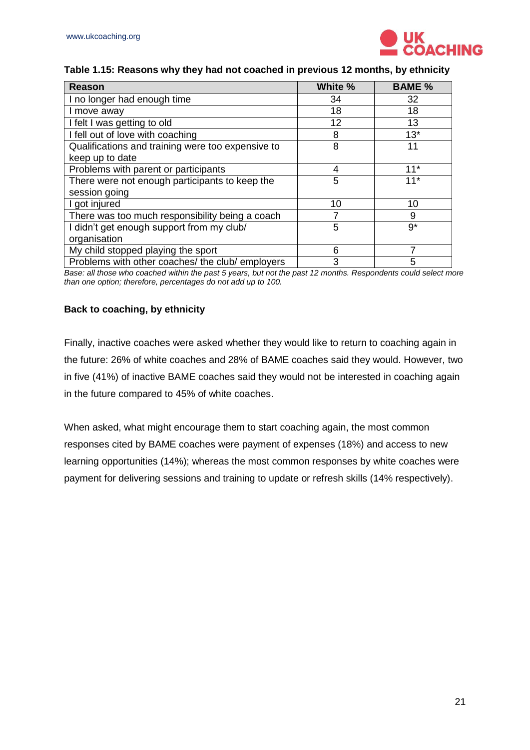

#### **Table 1.15: Reasons why they had not coached in previous 12 months, by ethnicity**

| <b>Reason</b>                                     | White % | <b>BAME %</b> |
|---------------------------------------------------|---------|---------------|
| I no longer had enough time                       | 34      | 32            |
| I move away                                       | 18      | 18            |
| I felt I was getting to old                       | 12      | 13            |
| I fell out of love with coaching                  | 8       | $13*$         |
| Qualifications and training were too expensive to | 8       | 11            |
| keep up to date                                   |         |               |
| Problems with parent or participants              | 4       | $11*$         |
| There were not enough participants to keep the    | 5       | $11*$         |
| session going                                     |         |               |
| I got injured                                     | 10      | 10            |
| There was too much responsibility being a coach   |         | 9             |
| I didn't get enough support from my club/         | 5       | $9^*$         |
| organisation                                      |         |               |
| My child stopped playing the sport                | 6       |               |
| Problems with other coaches/ the club/ employers  | 3       | 5             |

*Base: all those who coached within the past 5 years, but not the past 12 months. Respondents could select more than one option; therefore, percentages do not add up to 100.*

#### <span id="page-20-0"></span>**Back to coaching, by ethnicity**

Finally, inactive coaches were asked whether they would like to return to coaching again in the future: 26% of white coaches and 28% of BAME coaches said they would. However, two in five (41%) of inactive BAME coaches said they would not be interested in coaching again in the future compared to 45% of white coaches.

When asked, what might encourage them to start coaching again, the most common responses cited by BAME coaches were payment of expenses (18%) and access to new learning opportunities (14%); whereas the most common responses by white coaches were payment for delivering sessions and training to update or refresh skills (14% respectively).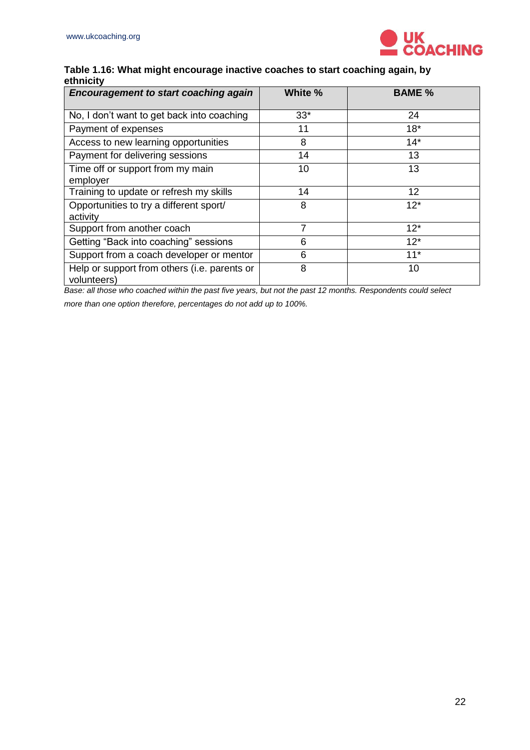

#### **Table 1.16: What might encourage inactive coaches to start coaching again, by ethnicity**

| <b>Encouragement to start coaching again</b>                | White % | <b>BAME %</b> |
|-------------------------------------------------------------|---------|---------------|
| No, I don't want to get back into coaching                  | $33*$   | 24            |
| Payment of expenses                                         | 11      | $18*$         |
| Access to new learning opportunities                        | 8       | $14*$         |
| Payment for delivering sessions                             | 14      | 13            |
| Time off or support from my main<br>employer                | 10      | 13            |
| Training to update or refresh my skills                     | 14      | 12            |
| Opportunities to try a different sport/<br>activity         | 8       | $12*$         |
| Support from another coach                                  | 7       | $12*$         |
| Getting "Back into coaching" sessions                       | 6       | $12*$         |
| Support from a coach developer or mentor                    | 6       | $11*$         |
| Help or support from others (i.e. parents or<br>volunteers) | 8       | 10            |

*Base: all those who coached within the past five years, but not the past 12 months. Respondents could select* 

*more than one option therefore, percentages do not add up to 100%.*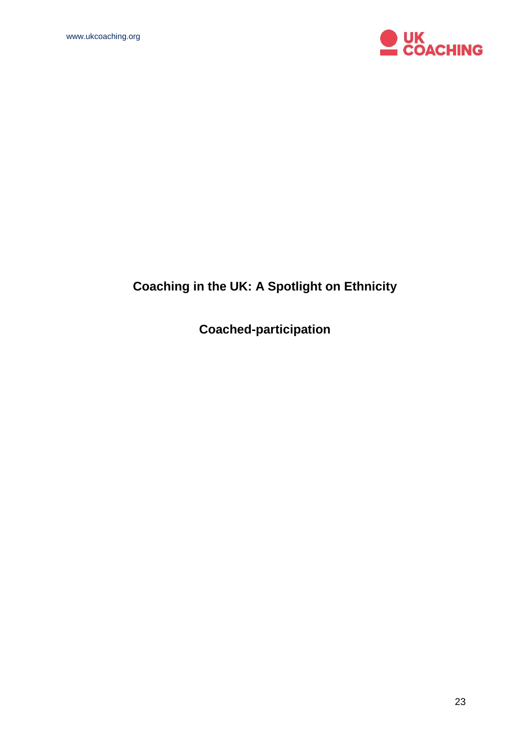

# **Coaching in the UK: A Spotlight on Ethnicity**

**Coached-participation**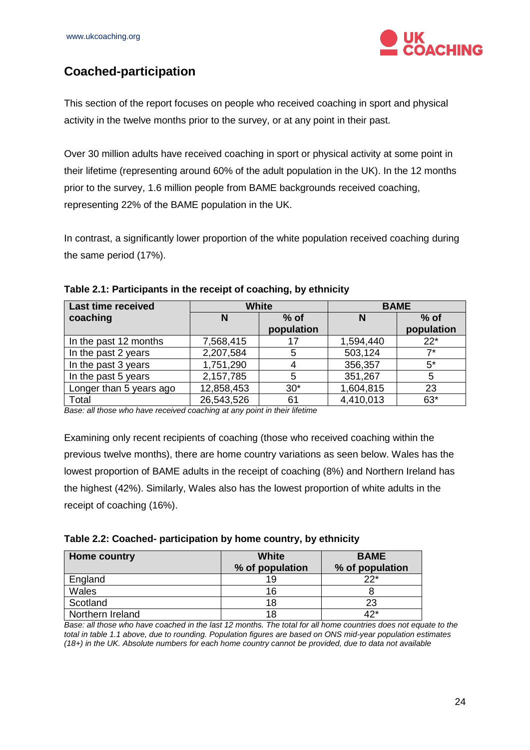

# <span id="page-23-0"></span>**Coached-participation**

This section of the report focuses on people who received coaching in sport and physical activity in the twelve months prior to the survey, or at any point in their past.

Over 30 million adults have received coaching in sport or physical activity at some point in their lifetime (representing around 60% of the adult population in the UK). In the 12 months prior to the survey, 1.6 million people from BAME backgrounds received coaching, representing 22% of the BAME population in the UK.

In contrast, a significantly lower proportion of the white population received coaching during the same period (17%).

| <b>Last time received</b> | <b>White</b> |                      |           | <b>BAME</b>          |
|---------------------------|--------------|----------------------|-----------|----------------------|
| coaching                  |              | $%$ of<br>population | N         | $%$ of<br>population |
| In the past 12 months     | 7,568,415    |                      | 1,594,440 | $22*$                |
| In the past 2 years       | 2,207,584    | 5                    | 503,124   | $7*$                 |
| In the past 3 years       | 1,751,290    |                      | 356,357   | $5^*$                |
| In the past 5 years       | 2,157,785    | 5                    | 351,267   | 5                    |
| Longer than 5 years ago   | 12,858,453   | $30*$                | 1,604,815 | 23                   |
| Total                     | 26,543,526   | 61                   | 4,410,013 | $63*$                |

#### **Table 2.1: Participants in the receipt of coaching, by ethnicity**

**Base: all those who have received coaching at any point in their lifetime** 

Examining only recent recipients of coaching (those who received coaching within the previous twelve months), there are home country variations as seen below. Wales has the lowest proportion of BAME adults in the receipt of coaching (8%) and Northern Ireland has the highest (42%). Similarly, Wales also has the lowest proportion of white adults in the receipt of coaching (16%).

| Table 2.2: Coached- participation by home country, by ethnicity |  |  |  |
|-----------------------------------------------------------------|--|--|--|
|-----------------------------------------------------------------|--|--|--|

| <b>Home country</b> | White<br>% of population | <b>BAME</b><br>% of population |
|---------------------|--------------------------|--------------------------------|
| England             | 19                       | つつ*                            |
| Wales               | 16                       |                                |
| Scotland            | 18                       | 23                             |
| Northern Ireland    | 18                       | <b>Aつ*</b>                     |

*Base: all those who have coached in the last 12 months. The total for all home countries does not equate to the total in table 1.1 above, due to rounding. Population figures are based on ONS mid-year population estimates (18+) in the UK. Absolute numbers for each home country cannot be provided, due to data not available*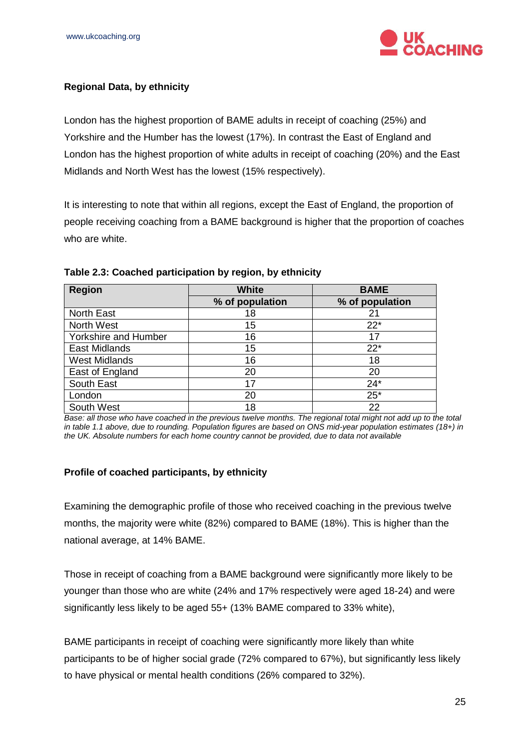

#### <span id="page-24-0"></span>**Regional Data, by ethnicity**

London has the highest proportion of BAME adults in receipt of coaching (25%) and Yorkshire and the Humber has the lowest (17%). In contrast the East of England and London has the highest proportion of white adults in receipt of coaching (20%) and the East Midlands and North West has the lowest (15% respectively).

It is interesting to note that within all regions, except the East of England, the proportion of people receiving coaching from a BAME background is higher that the proportion of coaches who are white.

| <b>Region</b>        | White           | <b>BAME</b>     |
|----------------------|-----------------|-----------------|
|                      | % of population | % of population |
| <b>North East</b>    | 18              | 21              |
| North West           | 15              | $22*$           |
| Yorkshire and Humber | 16              | 17              |
| East Midlands        | 15              | $22*$           |
| <b>West Midlands</b> | 16              | 18              |
| East of England      | 20              | 20              |
| South East           | 17              | $24*$           |
| London               | 20              | $25*$           |
| South West           | 18              | 22              |

#### **Table 2.3: Coached participation by region, by ethnicity**

*Base: all those who have coached in the previous twelve months. The regional total might not add up to the total in table 1.1 above, due to rounding. Population figures are based on ONS mid-year population estimates (18+) in the UK. Absolute numbers for each home country cannot be provided, due to data not available*

#### <span id="page-24-1"></span>**Profile of coached participants, by ethnicity**

Examining the demographic profile of those who received coaching in the previous twelve months, the majority were white (82%) compared to BAME (18%). This is higher than the national average, at 14% BAME.

Those in receipt of coaching from a BAME background were significantly more likely to be younger than those who are white (24% and 17% respectively were aged 18-24) and were significantly less likely to be aged 55+ (13% BAME compared to 33% white),

BAME participants in receipt of coaching were significantly more likely than white participants to be of higher social grade (72% compared to 67%), but significantly less likely to have physical or mental health conditions (26% compared to 32%).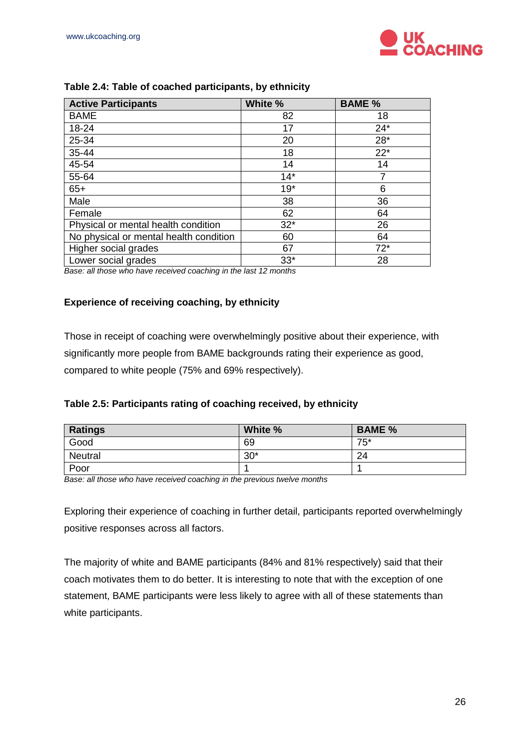

| <b>Active Participants</b>             | White % | <b>BAME %</b> |
|----------------------------------------|---------|---------------|
| <b>BAME</b>                            | 82      | 18            |
| 18-24                                  | 17      | $24*$         |
| 25-34                                  | 20      | $28*$         |
| 35-44                                  | 18      | $22*$         |
| 45-54                                  | 14      | 14            |
| 55-64                                  | $14*$   |               |
| $65+$                                  | $19*$   | 6             |
| Male                                   | 38      | 36            |
| Female                                 | 62      | 64            |
| Physical or mental health condition    | $32*$   | 26            |
| No physical or mental health condition | 60      | 64            |
| Higher social grades                   | 67      | $72*$         |
| Lower social grades                    | $33*$   | 28            |

#### **Table 2.4: Table of coached participants, by ethnicity**

*Base: all those who have received coaching in the last 12 months* 

#### <span id="page-25-0"></span>**Experience of receiving coaching, by ethnicity**

Those in receipt of coaching were overwhelmingly positive about their experience, with significantly more people from BAME backgrounds rating their experience as good, compared to white people (75% and 69% respectively).

| Table 2.5: Participants rating of coaching received, by ethnicity |  |  |
|-------------------------------------------------------------------|--|--|
|                                                                   |  |  |

| <b>Ratings</b> | White % | <b>BAME %</b> |
|----------------|---------|---------------|
| Good           | 69      | $75*$         |
| <b>Neutral</b> | $30*$   | 24            |
| Poor           |         |               |

*Base: all those who have received coaching in the previous twelve months*

Exploring their experience of coaching in further detail, participants reported overwhelmingly positive responses across all factors.

The majority of white and BAME participants (84% and 81% respectively) said that their coach motivates them to do better. It is interesting to note that with the exception of one statement, BAME participants were less likely to agree with all of these statements than white participants.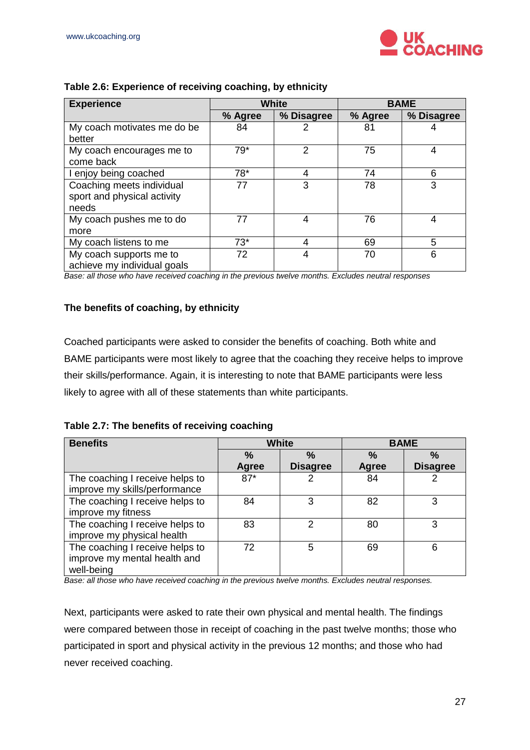

| <b>Experience</b>           |         | <b>White</b> |         | <b>BAME</b> |
|-----------------------------|---------|--------------|---------|-------------|
|                             | % Agree | % Disagree   | % Agree | % Disagree  |
| My coach motivates me do be | 84      |              | 81      |             |
| better                      |         |              |         |             |
| My coach encourages me to   | $79*$   | 2            | 75      |             |
| come back                   |         |              |         |             |
| I enjoy being coached       | $78*$   | 4            | 74      | 6           |
| Coaching meets individual   | 77      | 3            | 78      | 3           |
| sport and physical activity |         |              |         |             |
| needs                       |         |              |         |             |
| My coach pushes me to do    | 77      | 4            | 76      | 4           |
| more                        |         |              |         |             |
| My coach listens to me      | $73*$   | 4            | 69      | 5           |
| My coach supports me to     | 72      | 4            | 70      | 6           |
| achieve my individual goals |         |              |         |             |

#### **Table 2.6: Experience of receiving coaching, by ethnicity**

*Base: all those who have received coaching in the previous twelve months. Excludes neutral responses*

#### <span id="page-26-0"></span>**The benefits of coaching, by ethnicity**

Coached participants were asked to consider the benefits of coaching. Both white and BAME participants were most likely to agree that the coaching they receive helps to improve their skills/performance. Again, it is interesting to note that BAME participants were less likely to agree with all of these statements than white participants.

#### **Table 2.7: The benefits of receiving coaching**

| <b>Benefits</b>                 | White         |                 |               | <b>BAME</b>     |
|---------------------------------|---------------|-----------------|---------------|-----------------|
|                                 | $\frac{0}{0}$ | $\%$            | $\frac{0}{0}$ | $\%$            |
|                                 | Agree         | <b>Disagree</b> | Agree         | <b>Disagree</b> |
| The coaching I receive helps to | $87*$         |                 | 84            |                 |
| improve my skills/performance   |               |                 |               |                 |
| The coaching I receive helps to | 84            | 3               | 82            | 3               |
| improve my fitness              |               |                 |               |                 |
| The coaching I receive helps to | 83            | 2               | 80            | 3               |
| improve my physical health      |               |                 |               |                 |
| The coaching I receive helps to | 72            | 5               | 69            | 6               |
| improve my mental health and    |               |                 |               |                 |
| well-being                      |               |                 |               |                 |

*Base: all those who have received coaching in the previous twelve months. Excludes neutral responses.*

Next, participants were asked to rate their own physical and mental health. The findings were compared between those in receipt of coaching in the past twelve months; those who participated in sport and physical activity in the previous 12 months; and those who had never received coaching.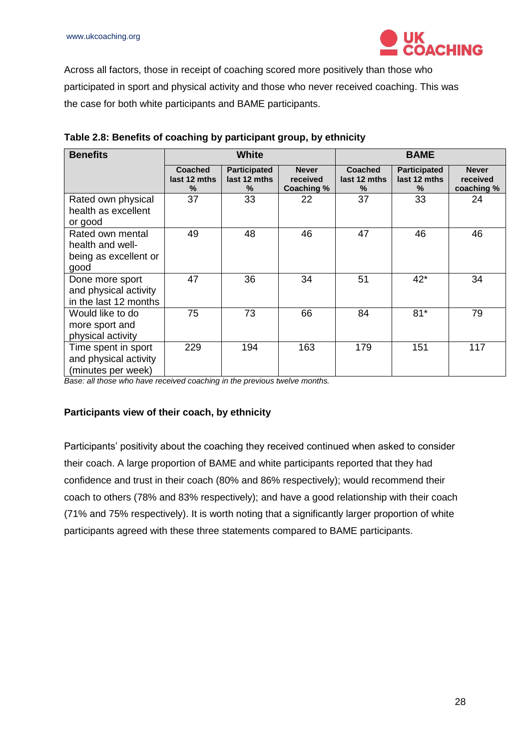

Across all factors, those in receipt of coaching scored more positively than those who participated in sport and physical activity and those who never received coaching. This was the case for both white participants and BAME participants.

| <b>Benefits</b>                                                       | <b>White</b>                        |                                          | <b>BAME</b>                            |                              |                                          |                                        |
|-----------------------------------------------------------------------|-------------------------------------|------------------------------------------|----------------------------------------|------------------------------|------------------------------------------|----------------------------------------|
|                                                                       | <b>Coached</b><br>last 12 mths<br>% | <b>Participated</b><br>last 12 mths<br>% | <b>Never</b><br>received<br>Coaching % | Coached<br>last 12 mths<br>% | <b>Participated</b><br>last 12 mths<br>% | <b>Never</b><br>received<br>coaching % |
| Rated own physical<br>health as excellent<br>or good                  | 37                                  | 33                                       | 22                                     | 37                           | 33                                       | 24                                     |
| Rated own mental<br>health and well-<br>being as excellent or<br>good | 49                                  | 48                                       | 46                                     | 47                           | 46                                       | 46                                     |
| Done more sport<br>and physical activity<br>in the last 12 months     | 47                                  | 36                                       | 34                                     | 51                           | $42*$                                    | 34                                     |
| Would like to do<br>more sport and<br>physical activity               | 75                                  | 73                                       | 66                                     | 84                           | $81*$                                    | 79                                     |
| Time spent in sport<br>and physical activity<br>(minutes per week)    | 229                                 | 194                                      | 163                                    | 179                          | 151                                      | 117                                    |

| Table 2.8: Benefits of coaching by participant group, by ethnicity |  |  |  |
|--------------------------------------------------------------------|--|--|--|
|--------------------------------------------------------------------|--|--|--|

*Base: all those who have received coaching in the previous twelve months.* 

#### <span id="page-27-0"></span>**Participants view of their coach, by ethnicity**

Participants' positivity about the coaching they received continued when asked to consider their coach. A large proportion of BAME and white participants reported that they had confidence and trust in their coach (80% and 86% respectively); would recommend their coach to others (78% and 83% respectively); and have a good relationship with their coach (71% and 75% respectively). It is worth noting that a significantly larger proportion of white participants agreed with these three statements compared to BAME participants.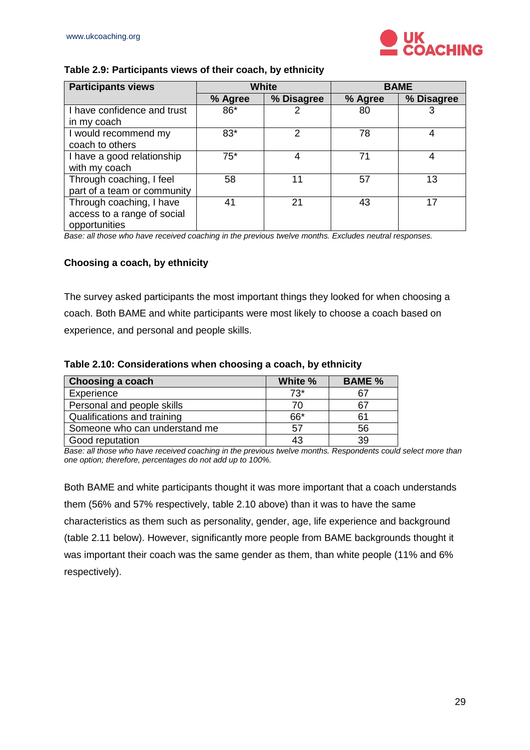

#### **Table 2.9: Participants views of their coach, by ethnicity**

| <b>Participants views</b>                                                | <b>White</b> |            |         | <b>BAME</b> |
|--------------------------------------------------------------------------|--------------|------------|---------|-------------|
|                                                                          | % Agree      | % Disagree | % Agree | % Disagree  |
| I have confidence and trust<br>in my coach                               | 86*          | 2          | 80      |             |
| I would recommend my<br>coach to others                                  | 83*          | 2          | 78      | 4           |
| I have a good relationship<br>with my coach                              | $75*$        | 4          | 71      | 4           |
| Through coaching, I feel<br>part of a team or community                  | 58           | 11         | 57      | 13          |
| Through coaching, I have<br>access to a range of social<br>opportunities | 41           | 21         | 43      | 17          |

*Base: all those who have received coaching in the previous twelve months. Excludes neutral responses.*

#### <span id="page-28-0"></span>**Choosing a coach, by ethnicity**

The survey asked participants the most important things they looked for when choosing a coach. Both BAME and white participants were most likely to choose a coach based on experience, and personal and people skills.

#### **Table 2.10: Considerations when choosing a coach, by ethnicity**

| Choosing a coach              | White % | <b>BAME %</b> |
|-------------------------------|---------|---------------|
| Experience                    | $73*$   | 67            |
| Personal and people skills    | 70      | 67            |
| Qualifications and training   | 66*     | 61            |
| Someone who can understand me | 57      | 56            |
| Good reputation               | 43      | 39            |

*Base: all those who have received coaching in the previous twelve months. Respondents could select more than one option; therefore, percentages do not add up to 100%.*

Both BAME and white participants thought it was more important that a coach understands them (56% and 57% respectively, table 2.10 above) than it was to have the same characteristics as them such as personality, gender, age, life experience and background (table 2.11 below). However, significantly more people from BAME backgrounds thought it was important their coach was the same gender as them, than white people (11% and 6% respectively).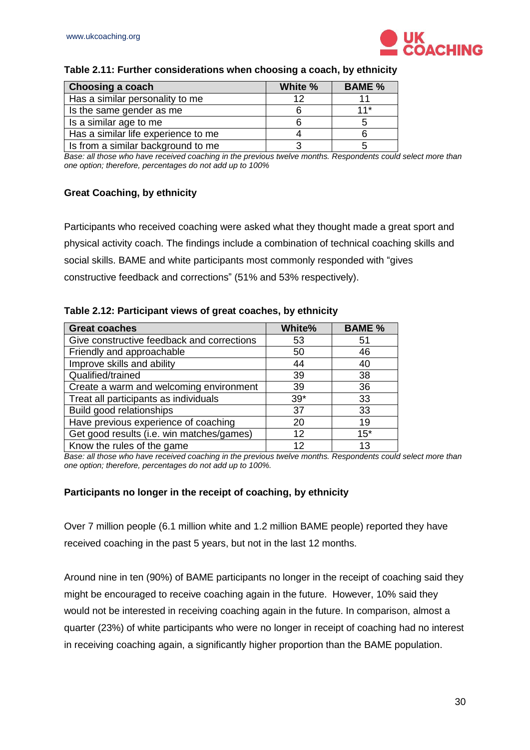

#### **Table 2.11: Further considerations when choosing a coach, by ethnicity**

| Choosing a coach                    | White % | <b>BAME %</b> |
|-------------------------------------|---------|---------------|
| Has a similar personality to me     | 12      |               |
| Is the same gender as me            |         | $11*$         |
| Is a similar age to me              |         |               |
| Has a similar life experience to me |         |               |
| Is from a similar background to me  |         |               |

**Base: all those who have received coaching in the previous twelve months. Respondents could select more than** *one option; therefore, percentages do not add up to 100%*

#### <span id="page-29-0"></span>**Great Coaching, by ethnicity**

Participants who received coaching were asked what they thought made a great sport and physical activity coach. The findings include a combination of technical coaching skills and social skills. BAME and white participants most commonly responded with "gives constructive feedback and corrections" (51% and 53% respectively).

#### **Table 2.12: Participant views of great coaches, by ethnicity**

| <b>Great coaches</b>                       | White% | <b>BAME %</b> |
|--------------------------------------------|--------|---------------|
| Give constructive feedback and corrections | 53     | 51            |
| Friendly and approachable                  | 50     | 46            |
| Improve skills and ability                 | 44     | 40            |
| Qualified/trained                          | 39     | 38            |
| Create a warm and welcoming environment    | 39     | 36            |
| Treat all participants as individuals      | $39*$  | 33            |
| Build good relationships                   | 37     | 33            |
| Have previous experience of coaching       | 20     | 19            |
| Get good results (i.e. win matches/games)  | 12     | $15*$         |
| Know the rules of the game                 | 12     | 13            |

**Base: all those who have received coaching in the previous twelve months. Respondents could select more than** *one option; therefore, percentages do not add up to 100%.*

#### <span id="page-29-1"></span>**Participants no longer in the receipt of coaching, by ethnicity**

Over 7 million people (6.1 million white and 1.2 million BAME people) reported they have received coaching in the past 5 years, but not in the last 12 months.

Around nine in ten (90%) of BAME participants no longer in the receipt of coaching said they might be encouraged to receive coaching again in the future. However, 10% said they would not be interested in receiving coaching again in the future. In comparison, almost a quarter (23%) of white participants who were no longer in receipt of coaching had no interest in receiving coaching again, a significantly higher proportion than the BAME population.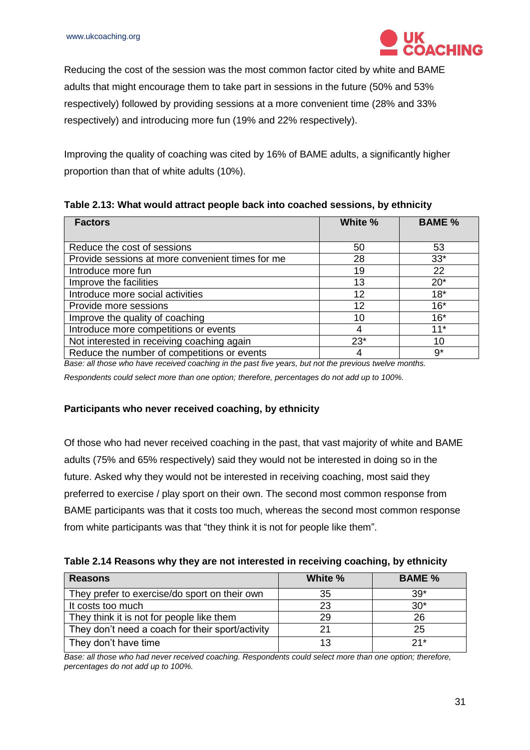

Reducing the cost of the session was the most common factor cited by white and BAME adults that might encourage them to take part in sessions in the future (50% and 53% respectively) followed by providing sessions at a more convenient time (28% and 33% respectively) and introducing more fun (19% and 22% respectively).

Improving the quality of coaching was cited by 16% of BAME adults, a significantly higher proportion than that of white adults (10%).

| Table 2.13: What would attract people back into coached sessions, by ethnicity |  |  |  |  |  |  |  |  |
|--------------------------------------------------------------------------------|--|--|--|--|--|--|--|--|
|--------------------------------------------------------------------------------|--|--|--|--|--|--|--|--|

| <b>Factors</b>                                   | White % | <b>BAME %</b> |
|--------------------------------------------------|---------|---------------|
| Reduce the cost of sessions                      | 50      | 53            |
| Provide sessions at more convenient times for me | 28      | $33*$         |
| Introduce more fun                               | 19      | 22            |
| Improve the facilities                           | 13      | $20*$         |
| Introduce more social activities                 | 12      | $18*$         |
| Provide more sessions                            | 12      | $16*$         |
| Improve the quality of coaching                  | 10      | $16*$         |
| Introduce more competitions or events            |         | $11*$         |
| Not interested in receiving coaching again       | $23*$   | 10            |
| Reduce the number of competitions or events      |         | $9^{\star}$   |

*Base: all those who have received coaching in the past five years, but not the previous twelve months.* 

*Respondents could select more than one option; therefore, percentages do not add up to 100%.*

#### <span id="page-30-0"></span>**Participants who never received coaching, by ethnicity**

Of those who had never received coaching in the past, that vast majority of white and BAME adults (75% and 65% respectively) said they would not be interested in doing so in the future. Asked why they would not be interested in receiving coaching, most said they preferred to exercise / play sport on their own. The second most common response from BAME participants was that it costs too much, whereas the second most common response from white participants was that "they think it is not for people like them".

| Table 2.14 Reasons why they are not interested in receiving coaching, by ethnicity |  |  |  |
|------------------------------------------------------------------------------------|--|--|--|
|                                                                                    |  |  |  |

| <b>Reasons</b>                                   | White % | <b>BAME</b> % |  |  |
|--------------------------------------------------|---------|---------------|--|--|
| They prefer to exercise/do sport on their own    | 35      | $39*$         |  |  |
| It costs too much                                | 23      | $30*$         |  |  |
| They think it is not for people like them        | 29      | 26            |  |  |
| They don't need a coach for their sport/activity | 21      | 25            |  |  |
| They don't have time                             | 13      | $21*$         |  |  |

*Base: all those who had never received coaching. Respondents could select more than one option; therefore, percentages do not add up to 100%.*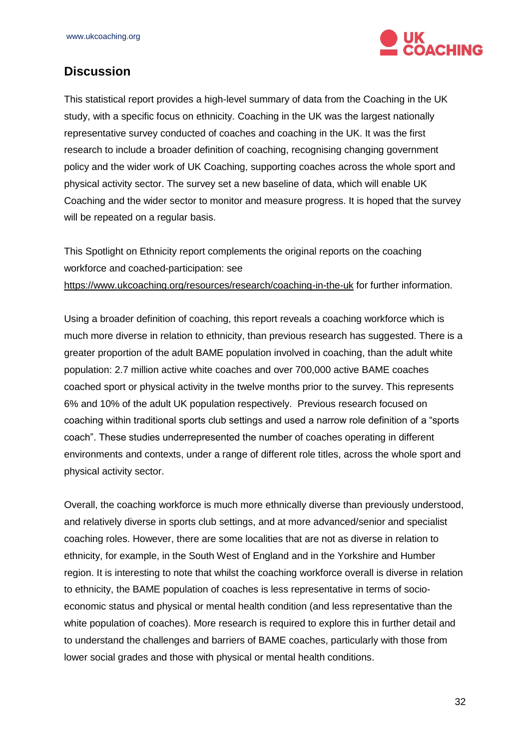

### <span id="page-31-0"></span>**Discussion**

This statistical report provides a high-level summary of data from the Coaching in the UK study, with a specific focus on ethnicity. Coaching in the UK was the largest nationally representative survey conducted of coaches and coaching in the UK. It was the first research to include a broader definition of coaching, recognising changing government policy and the wider work of UK Coaching, supporting coaches across the whole sport and physical activity sector. The survey set a new baseline of data, which will enable UK Coaching and the wider sector to monitor and measure progress. It is hoped that the survey will be repeated on a regular basis.

This Spotlight on Ethnicity report complements the original reports on the coaching workforce and coached-participation: see <https://www.ukcoaching.org/resources/research/coaching-in-the-uk> for further information.

Using a broader definition of coaching, this report reveals a coaching workforce which is much more diverse in relation to ethnicity, than previous research has suggested. There is a greater proportion of the adult BAME population involved in coaching, than the adult white population: 2.7 million active white coaches and over 700,000 active BAME coaches coached sport or physical activity in the twelve months prior to the survey. This represents 6% and 10% of the adult UK population respectively. Previous research focused on coaching within traditional sports club settings and used a narrow role definition of a "sports coach". These studies underrepresented the number of coaches operating in different environments and contexts, under a range of different role titles, across the whole sport and physical activity sector.

Overall, the coaching workforce is much more ethnically diverse than previously understood, and relatively diverse in sports club settings, and at more advanced/senior and specialist coaching roles. However, there are some localities that are not as diverse in relation to ethnicity, for example, in the South West of England and in the Yorkshire and Humber region. It is interesting to note that whilst the coaching workforce overall is diverse in relation to ethnicity, the BAME population of coaches is less representative in terms of socioeconomic status and physical or mental health condition (and less representative than the white population of coaches). More research is required to explore this in further detail and to understand the challenges and barriers of BAME coaches, particularly with those from lower social grades and those with physical or mental health conditions.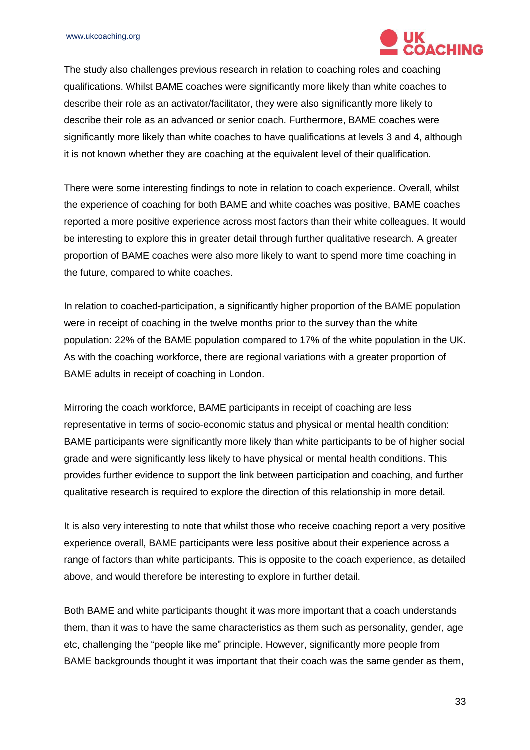

The study also challenges previous research in relation to coaching roles and coaching qualifications. Whilst BAME coaches were significantly more likely than white coaches to describe their role as an activator/facilitator, they were also significantly more likely to describe their role as an advanced or senior coach. Furthermore, BAME coaches were significantly more likely than white coaches to have qualifications at levels 3 and 4, although it is not known whether they are coaching at the equivalent level of their qualification.

There were some interesting findings to note in relation to coach experience. Overall, whilst the experience of coaching for both BAME and white coaches was positive, BAME coaches reported a more positive experience across most factors than their white colleagues. It would be interesting to explore this in greater detail through further qualitative research. A greater proportion of BAME coaches were also more likely to want to spend more time coaching in the future, compared to white coaches.

In relation to coached-participation, a significantly higher proportion of the BAME population were in receipt of coaching in the twelve months prior to the survey than the white population: 22% of the BAME population compared to 17% of the white population in the UK. As with the coaching workforce, there are regional variations with a greater proportion of BAME adults in receipt of coaching in London.

Mirroring the coach workforce, BAME participants in receipt of coaching are less representative in terms of socio-economic status and physical or mental health condition: BAME participants were significantly more likely than white participants to be of higher social grade and were significantly less likely to have physical or mental health conditions. This provides further evidence to support the link between participation and coaching, and further qualitative research is required to explore the direction of this relationship in more detail.

It is also very interesting to note that whilst those who receive coaching report a very positive experience overall, BAME participants were less positive about their experience across a range of factors than white participants. This is opposite to the coach experience, as detailed above, and would therefore be interesting to explore in further detail.

Both BAME and white participants thought it was more important that a coach understands them, than it was to have the same characteristics as them such as personality, gender, age etc, challenging the "people like me" principle. However, significantly more people from BAME backgrounds thought it was important that their coach was the same gender as them,